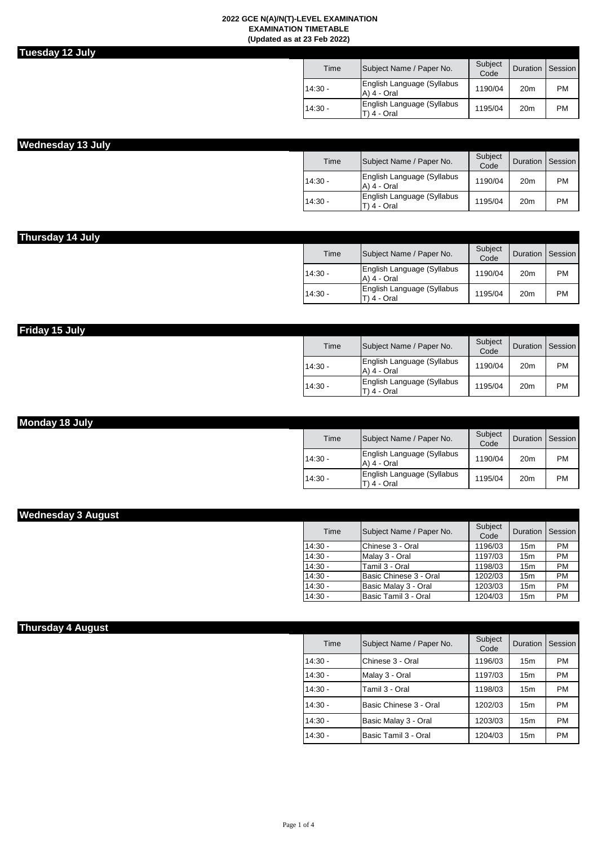| Jesdav<br>ı |  | ш<br>ı<br>н |
|-------------|--|-------------|
|             |  |             |

| Time      | Subject Name / Paper No.                  | Subject<br>Code | Duration        | Session |
|-----------|-------------------------------------------|-----------------|-----------------|---------|
| $14:30 -$ | English Language (Syllabus<br>A) 4 - Oral | 1190/04         | 20 <sub>m</sub> | PM      |
| $14:30 -$ | English Language (Syllabus<br>4 - Oral    | 1195/04         | 20 <sub>m</sub> | PM      |

# **Wednesday 13 July**

| Time      | Subject Name / Paper No.                  | Subject<br>Code | Duration        | Session   |
|-----------|-------------------------------------------|-----------------|-----------------|-----------|
| $14:30 -$ | English Language (Syllabus<br>A) 4 - Oral | 1190/04         | 20 <sub>m</sub> | PM        |
| $14:30 -$ | English Language (Syllabus<br>4 - Oral    | 1195/04         | 20 <sub>m</sub> | <b>PM</b> |

| Thursday 14 July |           |                                              |                 |                  |           |
|------------------|-----------|----------------------------------------------|-----------------|------------------|-----------|
|                  | Time      | Subject Name / Paper No.                     | Subject<br>Code | Duration Session |           |
|                  | $14:30 -$ | English Language (Syllabus<br>A) 4 - Oral    | 1190/04         | 20 <sub>m</sub>  | <b>PM</b> |
|                  | $14:30 -$ | English Language (Syllabus<br>$(T)$ 4 - Oral | 1195/04         | 20 <sub>m</sub>  | <b>PM</b> |

| Friday 15 July |           |                                              |                 |                  |           |
|----------------|-----------|----------------------------------------------|-----------------|------------------|-----------|
|                | Time      | Subject Name / Paper No.                     | Subject<br>Code | Duration Session |           |
|                | $14:30 -$ | English Language (Syllabus<br>$(A)$ 4 - Oral | 1190/04         | 20 <sub>m</sub>  | <b>PM</b> |
|                | $14:30 -$ | English Language (Syllabus<br>$(T)$ 4 - Oral | 1195/04         | 20 <sub>m</sub>  | <b>PM</b> |

| Monday 18 July |           |                                           |                 |                  |           |
|----------------|-----------|-------------------------------------------|-----------------|------------------|-----------|
|                | Time      | Subject Name / Paper No.                  | Subiect<br>Code | Duration Session |           |
|                | $14:30 -$ | English Language (Syllabus<br>A) 4 - Oral | 1190/04         | 20 <sub>m</sub>  | <b>PM</b> |
|                | $14:30 -$ | English Language (Syllabus<br>T) 4 - Oral | 1195/04         | 20 <sub>m</sub>  | <b>PM</b> |

| Time      | Subject Name / Paper No. | Subject<br>Code | Duration        | Session   |
|-----------|--------------------------|-----------------|-----------------|-----------|
| $14:30 -$ | Chinese 3 - Oral         | 1196/03         | 15 <sub>m</sub> | <b>PM</b> |
| $14:30 -$ | Malay 3 - Oral           | 1197/03         | 15m             | <b>PM</b> |
| $14:30 -$ | Tamil 3 - Oral           | 1198/03         | 15 <sub>m</sub> | <b>PM</b> |
| $14:30 -$ | Basic Chinese 3 - Oral   | 1202/03         | 15m             | <b>PM</b> |
| $14:30 -$ | Basic Malay 3 - Oral     | 1203/03         | 15 <sub>m</sub> | <b>PM</b> |
| $14:30 -$ | Basic Tamil 3 - Oral     | 1204/03         | 15m             | PM        |

| <b>Thursday 4 August</b> |           |                          |                 |                    |           |
|--------------------------|-----------|--------------------------|-----------------|--------------------|-----------|
|                          | Time      | Subject Name / Paper No. | Subject<br>Code | Duration   Session |           |
|                          | $14:30 -$ | lChinese 3 - Oral        | 1196/03         | 15 <sub>m</sub>    | <b>PM</b> |
|                          | $14:30 -$ | Malay 3 - Oral           | 1197/03         | 15 <sub>m</sub>    | <b>PM</b> |
|                          | $14:30 -$ | Tamil 3 - Oral           | 1198/03         | 15 <sub>m</sub>    | <b>PM</b> |
|                          | $14:30 -$ | lBasic Chinese 3 - Oral  | 1202/03         | 15 <sub>m</sub>    | <b>PM</b> |
|                          | $14:30 -$ | Basic Malay 3 - Oral     | 1203/03         | 15 <sub>m</sub>    | <b>PM</b> |
|                          | $14:30 -$ | Basic Tamil 3 - Oral     | 1204/03         | 15 <sub>m</sub>    | <b>PM</b> |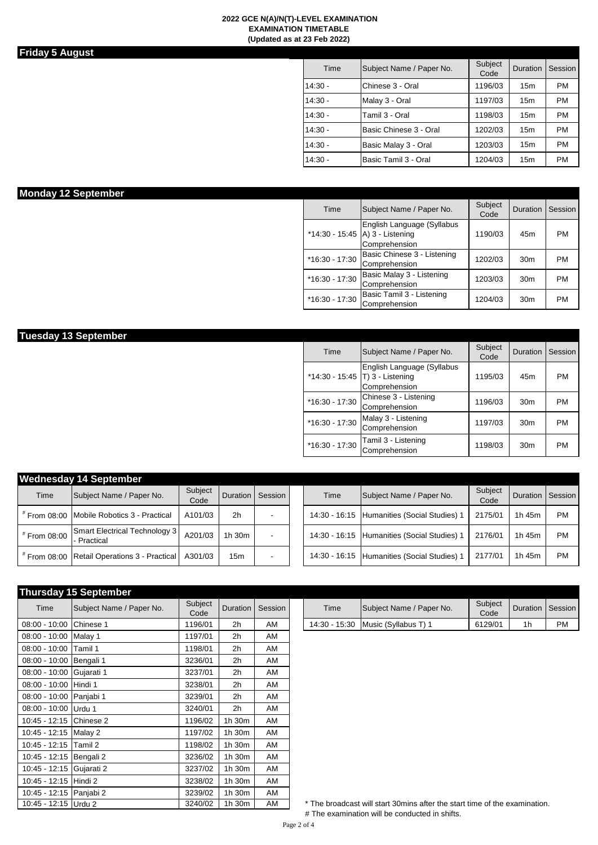### **Friday 5 August**

**Tuesday 13 September**

| Time      | Subject Name / Paper No. | Subject<br>Code | <b>Duration</b> | Session   |
|-----------|--------------------------|-----------------|-----------------|-----------|
| $14:30 -$ | Chinese 3 - Oral         | 1196/03         | 15m             | <b>PM</b> |
| $14:30 -$ | Malay 3 - Oral           | 1197/03         | 15 <sub>m</sub> | <b>PM</b> |
| $14:30 -$ | Tamil 3 - Oral           | 1198/03         | 15m             | <b>PM</b> |
| $14:30 -$ | Basic Chinese 3 - Oral   | 1202/03         | 15 <sub>m</sub> | <b>PM</b> |
| $14:30 -$ | Basic Malay 3 - Oral     | 1203/03         | 15m             | <b>PM</b> |
| $14:30 -$ | Basic Tamil 3 - Oral     | 1204/03         | 15 <sub>m</sub> | <b>PM</b> |

| <b>Monday 12 September</b> |                |                                                                                      |                 |                  |           |
|----------------------------|----------------|--------------------------------------------------------------------------------------|-----------------|------------------|-----------|
|                            | Time           | Subject Name / Paper No.                                                             | Subject<br>Code | Duration Session |           |
|                            |                | English Language (Syllabus<br>*14:30 - 15:45   A $\,$ 3 - Listening<br>Comprehension | 1190/03         | 45m              | <b>PM</b> |
|                            | *16:30 - 17:30 | Basic Chinese 3 - Listening<br>Comprehension                                         | 1202/03         | 30 <sub>m</sub>  | <b>PM</b> |
|                            | *16:30 - 17:30 | Basic Malay 3 - Listening<br>Comprehension                                           | 1203/03         | 30 <sub>m</sub>  | <b>PM</b> |
|                            | *16:30 - 17:30 | Basic Tamil 3 - Listening<br>Comprehension                                           | 1204/03         | 30 <sub>m</sub>  | <b>PM</b> |

| Time             | Subject Name / Paper No.                                                         | Subject<br>Code | Duration        | Session   |
|------------------|----------------------------------------------------------------------------------|-----------------|-----------------|-----------|
|                  | English Language (Syllabus<br>*14:30 - 15:45   T) 3 - Listening<br>Comprehension | 1195/03         | 45 <sub>m</sub> | <b>PM</b> |
| $*16:30 - 17:30$ | Chinese 3 - Listening<br>Comprehension                                           | 1196/03         | 30 <sub>m</sub> | <b>PM</b> |
| $*16:30 - 17:30$ | Malay 3 - Listening<br>Comprehension                                             | 1197/03         | 30 <sub>m</sub> | <b>PM</b> |
| $*16:30 - 17:30$ | Tamil 3 - Listening<br>Comprehension                                             | 1198/03         | 30 <sub>m</sub> | <b>PM</b> |

| <b>Wednesday 14 September</b> |                                              |                 |                |         |  |      |                                             |                 |                 |                |  |  |
|-------------------------------|----------------------------------------------|-----------------|----------------|---------|--|------|---------------------------------------------|-----------------|-----------------|----------------|--|--|
| Time                          | Subject Name / Paper No.                     | Subject<br>Code | Duration       | Session |  | Time | Subject Name / Paper No.                    | Subject<br>Code | <b>Duration</b> | <b>Session</b> |  |  |
|                               | From 08:00 Mobile Robotics 3 - Practical     | A101/03         | 2 <sub>h</sub> |         |  |      | 14:30 - 16:15 Humanities (Social Studies) 1 | 2175/01         | 1h 45m          | <b>PM</b>      |  |  |
| From 08:00                    | Smart Electrical Technology 3<br>- Practical | A201/03         | 1h.30m         |         |  |      | 14:30 - 16:15 Humanities (Social Studies) 1 | 2176/01         | 1h 45m          | <b>PM</b>      |  |  |
|                               | From 08:00 Retail Operations 3 - Practical   | A301/03         | 15m            |         |  |      | 14:30 - 16:15 Humanities (Social Studies) 1 | 2177/01         | 1h 45m          | <b>PM</b>      |  |  |

|                          | <b>Thursday 15 September</b> |                 |                |         |               |                                                                            |                 |          |           |
|--------------------------|------------------------------|-----------------|----------------|---------|---------------|----------------------------------------------------------------------------|-----------------|----------|-----------|
| Time                     | Subject Name / Paper No.     | Subject<br>Code | Duration       | Session | Time          | Subject Name / Paper No.                                                   | Subject<br>Code | Duration | Sessi     |
| $08:00 - 10:00$          | Chinese 1                    | 1196/01         | 2 <sub>h</sub> | AM      | 14:30 - 15:30 | Music (Syllabus T) 1                                                       | 6129/01         | 1h       | <b>PM</b> |
| 08:00 - 10:00 Malay 1    |                              | 1197/01         | 2 <sub>h</sub> | AM      |               |                                                                            |                 |          |           |
| $08:00 - 10:00$          | Tamil 1                      | 1198/01         | 2 <sub>h</sub> | AM      |               |                                                                            |                 |          |           |
| 08:00 - 10:00 Bengali 1  |                              | 3236/01         | 2 <sub>h</sub> | AM      |               |                                                                            |                 |          |           |
| 08:00 - 10:00 Gujarati 1 |                              | 3237/01         | 2 <sub>h</sub> | AM      |               |                                                                            |                 |          |           |
| 08:00 - 10:00 Hindi 1    |                              | 3238/01         | 2 <sub>h</sub> | AM      |               |                                                                            |                 |          |           |
| 08:00 - 10:00 Panjabi 1  |                              | 3239/01         | 2 <sub>h</sub> | AM      |               |                                                                            |                 |          |           |
| 08:00 - 10:00 Urdu 1     |                              | 3240/01         | 2 <sub>h</sub> | AM      |               |                                                                            |                 |          |           |
| 10:45 - 12:15 Chinese 2  |                              | 1196/02         | 1h 30m         | AM      |               |                                                                            |                 |          |           |
| 10:45 - 12:15 Malay 2    |                              | 1197/02         | 1h 30m         | AM      |               |                                                                            |                 |          |           |
| 10:45 - 12:15 Tamil 2    |                              | 1198/02         | 1h 30m         | AM      |               |                                                                            |                 |          |           |
| 10:45 - 12:15 Bengali 2  |                              | 3236/02         | 1h 30m         | AM      |               |                                                                            |                 |          |           |
| 10:45 - 12:15 Gujarati 2 |                              | 3237/02         | 1h 30m         | AM      |               |                                                                            |                 |          |           |
| 10:45 - 12:15 Hindi 2    |                              | 3238/02         | 1h 30m         | AM      |               |                                                                            |                 |          |           |
| 10:45 - 12:15 Panjabi 2  |                              | 3239/02         | 1h 30m         | AM      |               |                                                                            |                 |          |           |
| 10:45 - 12:15 Urdu 2     |                              | 3240/02         | 1h 30m         | AM      |               | * The broadcast will start 30mins after the start time of the examination. |                 |          |           |

| <b>Subiect</b><br>Code | Duration       | Session | Time          | Subject Name / Paper No. | Subject<br>Code | Duration | Session   |
|------------------------|----------------|---------|---------------|--------------------------|-----------------|----------|-----------|
| 196/01                 | 2 <sub>h</sub> | AM      | 14:30 - 15:30 | Music (Syllabus T) 1     | 6129/01         | 1h       | <b>PM</b> |

\* The broadcast will start 30mins after the start time of the examination. # The examination will be conducted in shifts.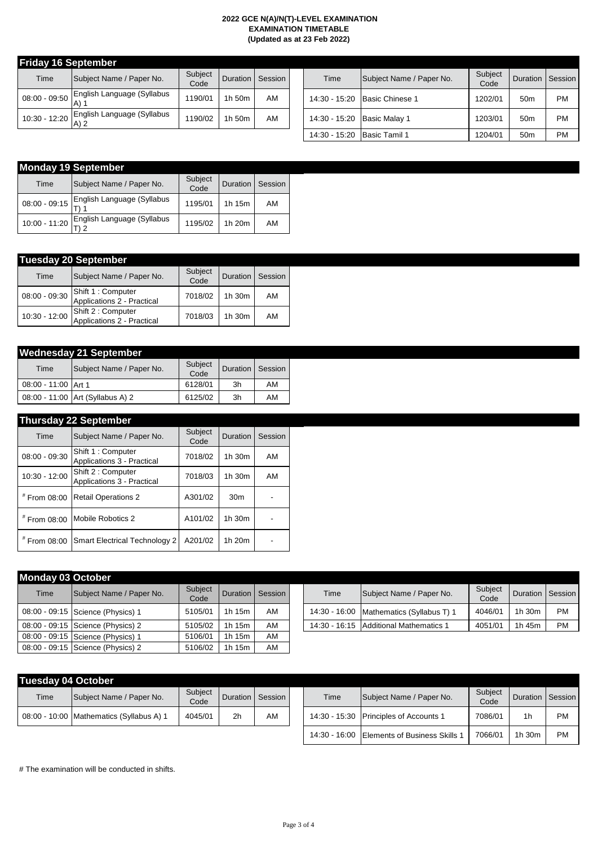|  | <b>Fridav 16 September</b> |  |
|--|----------------------------|--|
|--|----------------------------|--|

| Time            | Subject Name / Paper No.           | Subject<br>Code | Duration Session |    |
|-----------------|------------------------------------|-----------------|------------------|----|
| $08:00 - 09:50$ | English Language (Syllabus<br>A) 1 | 1190/01         | 1h 50m           | AM |
| 10:30 - 12:20   | English Language (Syllabus         | 1190/02         | 1h 50m           | AM |

| eptember                           |                 |                 |         |               |                          |                 |                 |           |
|------------------------------------|-----------------|-----------------|---------|---------------|--------------------------|-----------------|-----------------|-----------|
| Subject Name / Paper No.           | Subject<br>Code | <b>Duration</b> | Session | Time          | Subject Name / Paper No. | Subject<br>Code | Duration        | Session   |
| English Language (Syllabus<br>A) 1 | 1190/01         | 1h 50m          | AM      | 14:30 - 15:20 | Basic Chinese 1          | 1202/01         | 50 <sub>m</sub> | <b>PM</b> |
| English Language (Syllabus<br>A) 2 | 1190/02         | 1h 50m          | AM      | 14:30 - 15:20 | <b>Basic Malay 1</b>     | 1203/01         | 50 <sub>m</sub> | <b>PM</b> |
|                                    |                 |                 |         | 14:30 - 15:20 | Basic Tamil 1            | 1204/01         | 50 <sub>m</sub> | <b>PM</b> |

|                 | <b>Monday 19 September</b> |                 |                 |         |  |  |  |  |  |  |  |
|-----------------|----------------------------|-----------------|-----------------|---------|--|--|--|--|--|--|--|
| Time            | Subject Name / Paper No.   | Subject<br>Code | <b>Duration</b> | Session |  |  |  |  |  |  |  |
| $08:00 - 09:15$ | English Language (Syllabus | 1195/01         | 1h 15m          | AM      |  |  |  |  |  |  |  |
| 10:00 - 11:20   | English Language (Syllabus | 1195/02         | 1h 20m          | AM      |  |  |  |  |  |  |  |

| <b>Tuesday 20 September</b> |                                                  |                 |          |         |  |  |  |  |  |  |
|-----------------------------|--------------------------------------------------|-----------------|----------|---------|--|--|--|--|--|--|
| Time                        | Subject Name / Paper No.                         | Subject<br>Code | Duration | Session |  |  |  |  |  |  |
| $08:00 - 09:30$             | Shift 1 : Computer<br>Applications 2 - Practical | 7018/02         | 1h 30m   | AM      |  |  |  |  |  |  |
| $10:30 - 12:00$             | Shift 2 : Computer<br>Applications 2 - Practical | 7018/03         | 1h 30m   | AM      |  |  |  |  |  |  |

| <b>Wednesday 21 September</b> |                                  |                 |          |         |  |  |  |  |  |
|-------------------------------|----------------------------------|-----------------|----------|---------|--|--|--|--|--|
| Time                          | Subject Name / Paper No.         | Subject<br>Code | Duration | Session |  |  |  |  |  |
| 08:00 - 11:00 Art 1           |                                  | 6128/01         | 3h       | AM      |  |  |  |  |  |
|                               | 08:00 - 11:00 Art (Syllabus A) 2 | 6125/02         | 3h       | AM      |  |  |  |  |  |

## **Thursday 22 September**

| Time            | Subject Name / Paper No.                         | Subject<br>Code | Duration        | Session |
|-----------------|--------------------------------------------------|-----------------|-----------------|---------|
| $08:00 - 09:30$ | Shift 1 : Computer<br>Applications 3 - Practical | 7018/02         | 1h 30m          | AM      |
| $10:30 - 12:00$ | Shift 2 : Computer<br>Applications 3 - Practical | 7018/03         | 1h 30m          | AM      |
| # From 08:00    | <b>Retail Operations 2</b>                       | A301/02         | 30 <sub>m</sub> |         |
| # From 08:00    | Mobile Robotics 2                                | A101/02         | 1h 30m          |         |
| # From 08:00    | <b>Smart Electrical Technology 2</b>             | A201/02         | 1h 20m          |         |

| <b>Monday 03 October</b> |                                   |                 |                 |         |  |      |                                          |                 |            |           |  |
|--------------------------|-----------------------------------|-----------------|-----------------|---------|--|------|------------------------------------------|-----------------|------------|-----------|--|
| Time                     | Subject Name / Paper No.          | Subject<br>Code | <b>Duration</b> | Session |  | Time | Subject Name / Paper No.                 | Subject<br>Code | Duration I | Sessi     |  |
|                          | 08:00 - 09:15 Science (Physics) 1 | 5105/01         | 1h 15m          | AM      |  |      | 14:30 - 16:00 Mathematics (Syllabus T) 1 | 4046/01         | 1h 30m     | <b>PM</b> |  |
|                          | 08:00 - 09:15 Science (Physics) 2 | 5105/02         | 1h 15m          | AM      |  |      | 14:30 - 16:15 Additional Mathematics 1   | 4051/01         | 1h 45m     | <b>PM</b> |  |
|                          | 08:00 - 09:15 Science (Physics) 1 | 5106/01         | 1h 15m          | AM      |  |      |                                          |                 |            |           |  |
|                          | 08:00 - 09:15 Science (Physics) 2 | 5106/02         | 1h 15m          | AM      |  |      |                                          |                 |            |           |  |

| <b>Subject</b><br>Code | <b>Duration</b>                 | Session    | Time | Subject Name / Paper No.                   | Subject<br>Code | <b>Duration</b> | Session   |
|------------------------|---------------------------------|------------|------|--------------------------------------------|-----------------|-----------------|-----------|
| 105/01                 | 1h 15m                          | AM         |      | 14:30 - 16:00   Mathematics (Syllabus T) 1 | 4046/01         | 1h.30m          | PМ        |
| 105/02                 | 1h 15m                          | AM         |      | 14:30 - 16:15 Additional Mathematics 1     | 4051/01         | 1h 45m          | <b>PM</b> |
| 100/24                 | $\overline{AB}$ $\overline{AB}$ | <b>A A</b> |      |                                            |                 |                 |           |

| Tuesday 04 October |                                          |                 |                  |    |  |  |  |  |  |
|--------------------|------------------------------------------|-----------------|------------------|----|--|--|--|--|--|
| Time               | Subject Name / Paper No.                 | Subject<br>Code | Duration Session |    |  |  |  |  |  |
|                    | 08:00 - 10:00 Mathematics (Syllabus A) 1 | 4045/01         | 2 <sub>h</sub>   | AM |  |  |  |  |  |

| Tuesday 04 October |                                          |                 |                  |    |      |                                             |                 |                  |           |
|--------------------|------------------------------------------|-----------------|------------------|----|------|---------------------------------------------|-----------------|------------------|-----------|
| Time               | Subject Name / Paper No.                 | Subject<br>Code | Duration Session |    | Time | Subject Name / Paper No.                    | Subject<br>Code | Duration Session |           |
|                    | 08:00 - 10:00 Mathematics (Syllabus A) 1 | 4045/01         | 2h               | AM |      | 14:30 - 15:30 Principles of Accounts 1      | 7086/01         | 1 <sub>h</sub>   | <b>PM</b> |
|                    |                                          |                 |                  |    |      | 14:30 - 16:00 Elements of Business Skills 1 | 7066/01         | 1h 30m           | <b>PM</b> |

# The examination will be conducted in shifts.